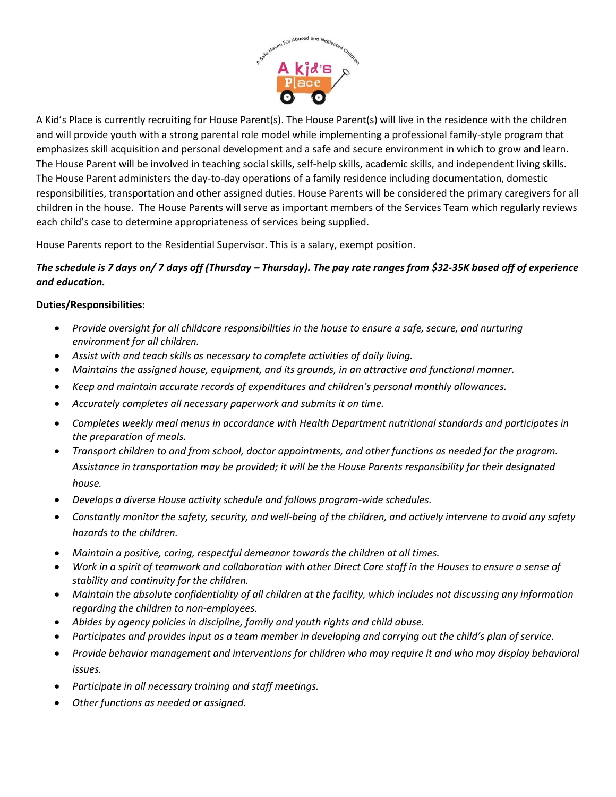

A Kid's Place is currently recruiting for House Parent(s). The House Parent(s) will live in the residence with the children and will provide youth with a strong parental role model while implementing a professional family-style program that emphasizes skill acquisition and personal development and a safe and secure environment in which to grow and learn. The House Parent will be involved in teaching social skills, self-help skills, academic skills, and independent living skills. The House Parent administers the day-to-day operations of a family residence including documentation, domestic responsibilities, transportation and other assigned duties. House Parents will be considered the primary caregivers for all children in the house. The House Parents will serve as important members of the Services Team which regularly reviews each child's case to determine appropriateness of services being supplied.

House Parents report to the Residential Supervisor. This is a salary, exempt position.

## *The schedule is 7 days on/ 7 days off (Thursday – Thursday). The pay rate ranges from \$32-35K based off of experience and education.*

## **Duties/Responsibilities:**

- *Provide oversight for all childcare responsibilities in the house to ensure a safe, secure, and nurturing environment for all children.*
- *Assist with and teach skills as necessary to complete activities of daily living.*
- *Maintains the assigned house, equipment, and its grounds, in an attractive and functional manner.*
- *Keep and maintain accurate records of expenditures and children's personal monthly allowances.*
- *Accurately completes all necessary paperwork and submits it on time.*
- *Completes weekly meal menus in accordance with Health Department nutritional standards and participates in the preparation of meals.*
- *Transport children to and from school, doctor appointments, and other functions as needed for the program. Assistance in transportation may be provided; it will be the House Parents responsibility for their designated house.*
- *Develops a diverse House activity schedule and follows program-wide schedules.*
- *Constantly monitor the safety, security, and well-being of the children, and actively intervene to avoid any safety hazards to the children.*
- *Maintain a positive, caring, respectful demeanor towards the children at all times.*
- *Work in a spirit of teamwork and collaboration with other Direct Care staff in the Houses to ensure a sense of stability and continuity for the children.*
- *Maintain the absolute confidentiality of all children at the facility, which includes not discussing any information regarding the children to non-employees.*
- *Abides by agency policies in discipline, family and youth rights and child abuse.*
- *Participates and provides input as a team member in developing and carrying out the child's plan of service.*
- *Provide behavior management and interventions for children who may require it and who may display behavioral issues.*
- *Participate in all necessary training and staff meetings.*
- *Other functions as needed or assigned.*